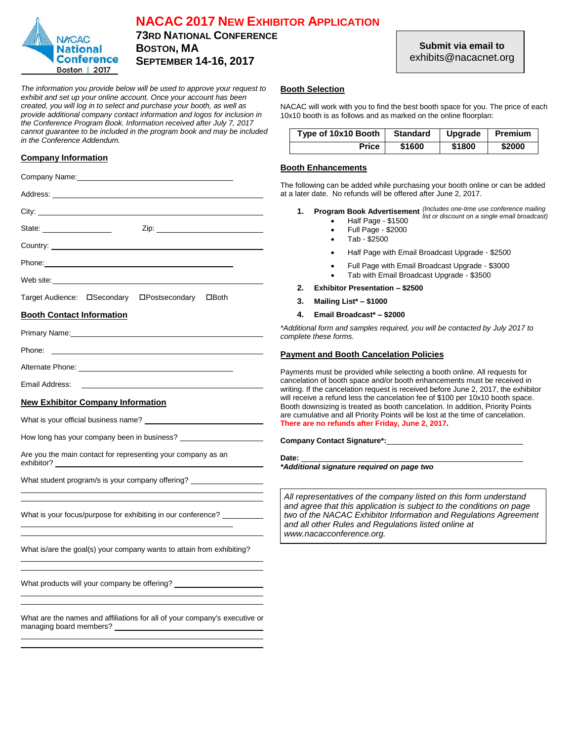

# **NACAC 2017 NEW EXHIBITOR APPLICATION**

**73RD NATIONAL CONFERENCE BOSTON, MA SEPTEMBER 14-16, 2017**

*The information you provide below will be used to approve your request to exhibit and set up your online account. Once your account has been created, you will log in to select and purchase your booth, as well as provide additional company contact information and logos for inclusion in the Conference Program Book. Information received after July 7, 2017 cannot guarantee to be included in the program book and may be included in the Conference Addendum.*

# **Company Information**

| Company Name: Name: 2008 Company Name: 2008 Company Name: 2008 Company Assembly Company Company of the Company                                                                                                                                                                                               |                                                               |
|--------------------------------------------------------------------------------------------------------------------------------------------------------------------------------------------------------------------------------------------------------------------------------------------------------------|---------------------------------------------------------------|
|                                                                                                                                                                                                                                                                                                              | The followir<br>at a later da                                 |
| City: the contract of the contract of the contract of the contract of the contract of the contract of the contract of the contract of the contract of the contract of the contract of the contract of the contract of the cont                                                                               | 1.<br>Р                                                       |
| State: <u>________________</u>                                                                                                                                                                                                                                                                               |                                                               |
|                                                                                                                                                                                                                                                                                                              |                                                               |
|                                                                                                                                                                                                                                                                                                              |                                                               |
| Web site: when the contract of the contract of the contract of the contract of the contract of the contract of the contract of the contract of the contract of the contract of the contract of the contract of the contract of                                                                               | 2.<br>Е                                                       |
|                                                                                                                                                                                                                                                                                                              | 3.<br>N                                                       |
| <b>Booth Contact Information</b>                                                                                                                                                                                                                                                                             | 4.<br>Е                                                       |
| Primary Name: William Communication of the Communication of the Communication of the Communication of the Communication of the Communication of the Communication of the Communication of the Communication of the Communicati                                                                               | *Additional<br>complete th                                    |
|                                                                                                                                                                                                                                                                                                              | <b>Payment</b>                                                |
|                                                                                                                                                                                                                                                                                                              | Payments r                                                    |
| Email Address:<br><u> 1989 - Johann Barbara, martin amerikan basal dan berasal dan berasal dalam basal dan berasal dalam berasal da</u>                                                                                                                                                                      | cancelation<br>writing. If th                                 |
| <b>New Exhibitor Company Information</b>                                                                                                                                                                                                                                                                     | will receive<br>Booth down                                    |
|                                                                                                                                                                                                                                                                                                              | are cumula<br>There are i                                     |
|                                                                                                                                                                                                                                                                                                              | Company                                                       |
| Are you the main contact for representing your company as an                                                                                                                                                                                                                                                 | Date: $\_\_$<br>*Additiona                                    |
| What student program/s is your company offering? _______________________________                                                                                                                                                                                                                             |                                                               |
| What is your focus/purpose for exhibiting in our conference?                                                                                                                                                                                                                                                 | All repres<br>and agre<br>two of the<br>and all oi<br>www.nac |
| What is/are the goal(s) your company wants to attain from exhibiting?                                                                                                                                                                                                                                        |                                                               |
| What products will your company be offering? ___________________________________                                                                                                                                                                                                                             |                                                               |
| What are the names and affiliations for all of your company's executive or<br>managing board members? The contract of the contract of the contract of the contract of the contract of the contract of the contract of the contract of the contract of the contract of the contract of the contract of the co |                                                               |
|                                                                                                                                                                                                                                                                                                              |                                                               |

# **Booth Selection**

NACAC will work with you to find the best booth space for you. The price of each 10x10 booth is as follows and as marked on the online floorplan:

| Type of 10x10 Booth | <b>Standard</b> | Upgrade | Premium |
|---------------------|-----------------|---------|---------|
| Price               | \$1600          | \$1800  | \$2000  |

# **Booth Enhancements**

ving can be added while purchasing your booth online or can be added date. No refunds will be offered after June 2, 2017.

- **1. Program Book Advertisement** *(Includes one-time use conference mailing* 
	- Half Page \$1500 *list or discount on a single email broadcast)*
		- Full Page \$2000
		- Tab \$2500
		- Half Page with Email Broadcast Upgrade \$2500
		- Full Page with Email Broadcast Upgrade \$3000
		- Tab with Email Broadcast Upgrade \$3500

**2. Exhibitor Presentation – \$2500**

- **3. Mailing List\* – \$1000**
- **4. Email Broadcast\* – \$2000**

*\*Additional form and samples required, you will be contacted by July 2017 to complete these forms.*

# **Payment and Booth Cancelation Policies**

s must be provided while selecting a booth online. All requests for on of booth space and/or booth enhancements must be received in the cancelation request is received before June 2, 2017, the exhibitor e a refund less the cancelation fee of \$100 per 10x10 booth space. wnsizing is treated as booth cancelation. In addition, Priority Points lative and all Priority Points will be lost at the time of cancelation. **Phere 1 refunds after Friday, June 2, 2017.** 

**Company Contact Signature\*:**

*\*Additional signature required on page two*

esentatives of the company listed on this form understand *and agree that this application is subject to the conditions on page*  **he NACAC Exhibitor Information and Regulations Agreement** *and all other Rules and Regulations listed online at*  acacconference.org.